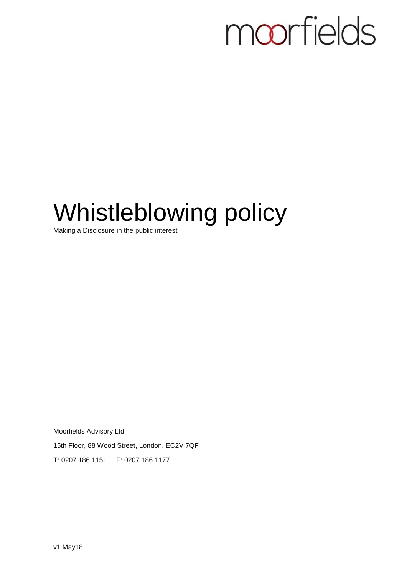# moorfields

# Whistleblowing policy

Making a Disclosure in the public interest

Moorfields Advisory Ltd 15th Floor, 88 Wood Street, London, EC2V 7QF T: 0207 186 1151 F: 0207 186 1177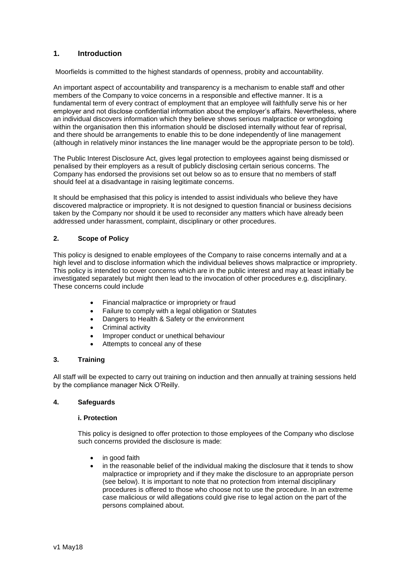# **1. Introduction**

Moorfields is committed to the highest standards of openness, probity and accountability.

An important aspect of accountability and transparency is a mechanism to enable staff and other members of the Company to voice concerns in a responsible and effective manner. It is a fundamental term of every contract of employment that an employee will faithfully serve his or her employer and not disclose confidential information about the employer's affairs. Nevertheless, where an individual discovers information which they believe shows serious malpractice or wrongdoing within the organisation then this information should be disclosed internally without fear of reprisal, and there should be arrangements to enable this to be done independently of line management (although in relatively minor instances the line manager would be the appropriate person to be told).

The Public Interest Disclosure Act, gives legal protection to employees against being dismissed or penalised by their employers as a result of publicly disclosing certain serious concerns. The Company has endorsed the provisions set out below so as to ensure that no members of staff should feel at a disadvantage in raising legitimate concerns.

It should be emphasised that this policy is intended to assist individuals who believe they have discovered malpractice or impropriety. It is not designed to question financial or business decisions taken by the Company nor should it be used to reconsider any matters which have already been addressed under harassment, complaint, disciplinary or other procedures.

### **2. Scope of Policy**

This policy is designed to enable employees of the Company to raise concerns internally and at a high level and to disclose information which the individual believes shows malpractice or impropriety. This policy is intended to cover concerns which are in the public interest and may at least initially be investigated separately but might then lead to the invocation of other procedures e.g. disciplinary. These concerns could include

- Financial malpractice or impropriety or fraud
- Failure to comply with a legal obligation or Statutes
- Dangers to Health & Safety or the environment
- Criminal activity
- Improper conduct or unethical behaviour
- Attempts to conceal any of these

#### **3. Training**

All staff will be expected to carry out training on induction and then annually at training sessions held by the compliance manager Nick O'Reilly.

#### **4. Safeguards**

#### **i. Protection**

This policy is designed to offer protection to those employees of the Company who disclose such concerns provided the disclosure is made:

- in good faith
- in the reasonable belief of the individual making the disclosure that it tends to show malpractice or impropriety and if they make the disclosure to an appropriate person (see below). It is important to note that no protection from internal disciplinary procedures is offered to those who choose not to use the procedure. In an extreme case malicious or wild allegations could give rise to legal action on the part of the persons complained about.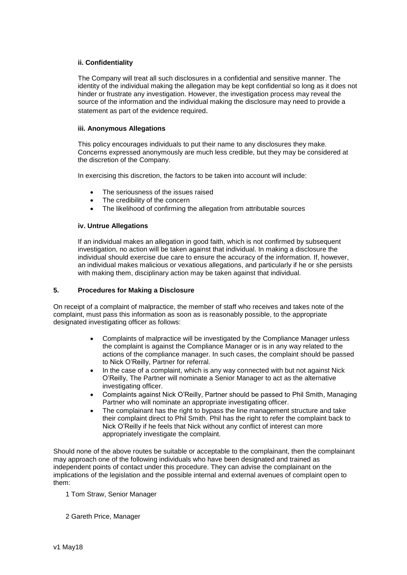## **ii. Confidentiality**

The Company will treat all such disclosures in a confidential and sensitive manner. The identity of the individual making the allegation may be kept confidential so long as it does not hinder or frustrate any investigation. However, the investigation process may reveal the source of the information and the individual making the disclosure may need to provide a statement as part of the evidence required.

#### **iii. Anonymous Allegations**

This policy encourages individuals to put their name to any disclosures they make. Concerns expressed anonymously are much less credible, but they may be considered at the discretion of the Company.

In exercising this discretion, the factors to be taken into account will include:

- The seriousness of the issues raised
- The credibility of the concern
- The likelihood of confirming the allegation from attributable sources

### **iv. Untrue Allegations**

If an individual makes an allegation in good faith, which is not confirmed by subsequent investigation, no action will be taken against that individual. In making a disclosure the individual should exercise due care to ensure the accuracy of the information. If, however, an individual makes malicious or vexatious allegations, and particularly if he or she persists with making them, disciplinary action may be taken against that individual.

# **5. Procedures for Making a Disclosure**

On receipt of a complaint of malpractice, the member of staff who receives and takes note of the complaint, must pass this information as soon as is reasonably possible, to the appropriate designated investigating officer as follows:

- Complaints of malpractice will be investigated by the Compliance Manager unless the complaint is against the Compliance Manager or is in any way related to the actions of the compliance manager. In such cases, the complaint should be passed to Nick O'Reilly, Partner for referral.
- In the case of a complaint, which is any way connected with but not against Nick O'Reilly, The Partner will nominate a Senior Manager to act as the alternative investigating officer.
- Complaints against Nick O'Reilly, Partner should be passed to Phil Smith, Managing Partner who will nominate an appropriate investigating officer.
- The complainant has the right to bypass the line management structure and take their complaint direct to Phil Smith. Phil has the right to refer the complaint back to Nick O'Reilly if he feels that Nick without any conflict of interest can more appropriately investigate the complaint.

Should none of the above routes be suitable or acceptable to the complainant, then the complainant may approach one of the following individuals who have been designated and trained as independent points of contact under this procedure. They can advise the complainant on the implications of the legislation and the possible internal and external avenues of complaint open to them:

- 1 Tom Straw, Senior Manager
- 2 Gareth Price, Manager